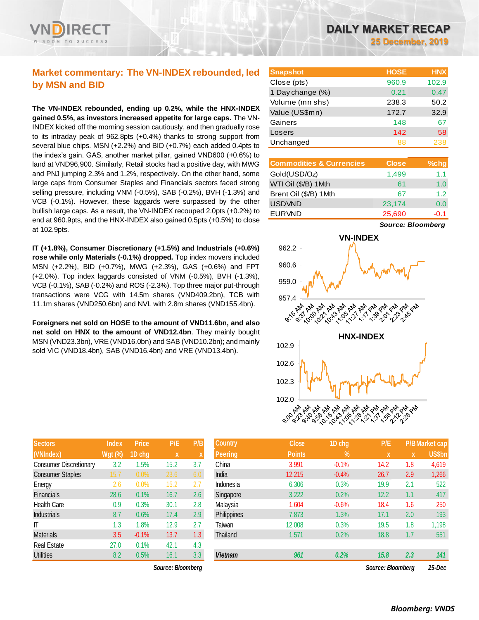# **Market commentary: The VN-INDEX rebounded, led by MSN and BID**

**The VN-INDEX rebounded, ending up 0.2%, while the HNX-INDEX gained 0.5%, as investors increased appetite for large caps.** The VN-INDEX kicked off the morning session cautiously, and then gradually rose to its intraday peak of 962.8pts (+0.4%) thanks to strong support from several blue chips. MSN (+2.2%) and BID (+0.7%) each added 0.4pts to the index's gain. GAS, another market pillar, gained VND600 (+0.6%) to land at VND96,900. Similarly, Retail stocks had a positive day, with MWG and PNJ jumping 2.3% and 1.2%, respectively. On the other hand, some large caps from Consumer Staples and Financials sectors faced strong selling pressure, including VNM (-0.5%), SAB (-0.2%), BVH (-1.3%) and VCB (-0.1%). However, these laggards were surpassed by the other bullish large caps. As a result, the VN-INDEX recouped 2.0pts (+0.2%) to end at 960.9pts, and the HNX-INDEX also gained 0.5pts (+0.5%) to close at 102.9pts.

**IT (+1.8%), Consumer Discretionary (+1.5%) and Industrials (+0.6%) rose while only Materials (-0.1%) dropped.** Top index movers included MSN (+2.2%), BID (+0.7%), MWG (+2.3%), GAS (+0.6%) and FPT (+2.0%). Top index laggards consisted of VNM (-0.5%), BVH (-1.3%), VCB (-0.1%), SAB (-0.2%) and ROS (-2.3%). Top three major put-through transactions were VCG with 14.5m shares (VND409.2bn), TCB with 11.1m shares (VND250.6bn) and NVL with 2.8m shares (VND155.4bn).

**Foreigners net sold on HOSE to the amount of VND11.6bn, and also net sold on HNX to the amount of VND12.4bn**. They mainly bought MSN (VND23.3bn), VRE (VND16.0bn) and SAB (VND10.2bn); and mainly sold VIC (VND18.4bn), SAB (VND16.4bn) and VRE (VND13.4bn).

| <b>Sectors</b>                | <b>Index</b>   | <b>Price</b> | P/E  | P/B |
|-------------------------------|----------------|--------------|------|-----|
| (VNIndex)                     | <b>Wgt</b> (%) | 1D chg       | x    | X   |
| <b>Consumer Discretionary</b> | 3.2            | 1.5%         | 15.2 | 3.7 |
| <b>Consumer Staples</b>       | 15.7           | 0.0%         | 23.6 | 6.0 |
| Energy                        | 2.6            | 0.0%         | 15.2 | 2.7 |
| Financials                    | 28.6           | 0.1%         | 16.7 | 2.6 |
| <b>Health Care</b>            | 0.9            | 0.3%         | 30.1 | 2.8 |
| <b>Industrials</b>            | 8.7            | 0.6%         | 17.4 | 2.9 |
| ΙT                            | 1.3            | 1.8%         | 12.9 | 2.7 |
| <b>Materials</b>              | 3.5            | $-0.1%$      | 13.7 | 1.3 |
| <b>Real Estate</b>            | 27.0           | 0.1%         | 42.1 | 4.3 |
| <b>Utilities</b>              | 8.2            | 0.5%         | 16.1 | 3.3 |

 $Source: Bloomberg$ 

| <b>Snapshot</b>  | <b>HOSE</b> | <b>HNX</b> |
|------------------|-------------|------------|
| Close (pts)      | 960.9       | 102.9      |
| 1 Day change (%) | 0.21        | 0.47       |
| Volume (mn shs)  | 238.3       | 50.2       |
| Value (US\$mn)   | 172.7       | 32.9       |
| Gainers          | 148         | 67         |
| Losers           | 142         | 58         |
| Unchanged        | 88          | 238        |

| <b>Commodities &amp; Currencies</b> | <b>Close</b> | $%$ chg |
|-------------------------------------|--------------|---------|
| Gold(USD/Oz)                        | 1,499        | 1.1     |
| WTI Oil (\$/B) 1 Mth                | 61           | 1.0     |
| Brent Oil (\$/B) 1Mth               | 67           | 12      |
| <b>USDVND</b>                       | 23,174       | 0.0     |
| <b>EURVND</b>                       | 25,690       | $-0.1$  |

*Source: Bloomberg*



| <b>Sectors</b>          | <b>Index</b>   | <b>Price</b> | P/E               | P/B | <b>Country</b> | <b>Close</b>  | 1D chg      | P/E               |     | <b>P/B Market cap</b> |
|-------------------------|----------------|--------------|-------------------|-----|----------------|---------------|-------------|-------------------|-----|-----------------------|
| (VNIndex)               | <b>Wgt (%)</b> | 1D chg       | X                 |     | Peering        | <b>Points</b> | $\sqrt{96}$ | <b>X</b>          | X   | <b>US\$bn</b>         |
| Consumer Discretionary  | 3.2            | .5%          | 15.2              | 3.7 | China          | 3,991         | $-0.1%$     | 14.2              | 1.8 | 4,619                 |
| <b>Consumer Staples</b> | 15.7           | 0.0%         | 23.6              | 6.0 | India          | 12,215        | $-0.4%$     | 26.7              | 2.9 | 1,266                 |
| Energy                  | 2.6            | 0.0%         | 15.2              | 2.7 | Indonesia      | 6,306         | 0.3%        | 19.9              | 2.1 | 522                   |
| Financials              | 28.6           | 0.1%         | 16.7              | 2.6 | Singapore      | 3,222         | 0.2%        | 12.2              | 1.1 | 417                   |
| Health Care             | 0.9            | 0.3%         | 30.1              | 2.8 | Malaysia       | 1,604         | $-0.6%$     | 18.4              | 1.6 | 250                   |
| Industrials             | 8.7            | 0.6%         | 17.4              | 2.9 | Philippines    | 7,873         | 1.3%        | 17.1              | 2.0 | 193                   |
| Τ                       | 1.3            | .8%          | 12.9              | 2.7 | Taiwan         | 12,008        | 0.3%        | 19.5              | 1.8 | 1,198                 |
| Materials               | 3.5            | $-0.1%$      | 13.7              | 1.3 | Thailand       | 1,571         | 0.2%        | 18.8              | 1.7 | 551                   |
| Real Estate             | 27.0           | 0.1%         | 42.1              | 4.3 |                |               |             |                   |     |                       |
| <b>Utilities</b>        | 8.2            | 0.5%         | 16.1              | 3.3 | <b>Vietnam</b> | 961           | 0.2%        | 15.8              | 2.3 | 141                   |
|                         |                |              | Source: Bloomberg |     |                |               |             | Source: Bloomberg |     | 25-Dec                |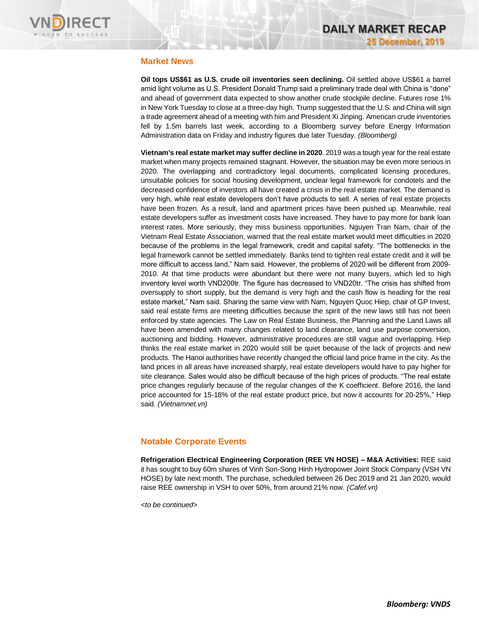

### **Market News**

**Oil tops US\$61 as U.S. crude oil inventories seen declining.** Oil settled above US\$61 a barrel amid light volume as U.S. President Donald Trump said a preliminary trade deal with China is "done" and ahead of government data expected to show another crude stockpile decline. Futures rose 1% in New York Tuesday to close at a three-day high. Trump suggested that the U.S. and China will sign a trade agreement ahead of a meeting with him and President Xi Jinping. American crude inventories fell by 1.5m barrels last week, according to a Bloomberg survey before Energy Information Administration data on Friday and industry figures due later Tuesday. *(Bloomberg)*

**Vietnam's real estate market may suffer decline in 2020**. 2019 was a tough year for the real estate market when many projects remained stagnant. However, the situation may be even more serious in 2020. The overlapping and contradictory legal documents, complicated licensing procedures, unsuitable policies for social housing development, unclear legal framework for condotels and the decreased confidence of investors all have created a crisis in the real estate market. The demand is very high, while real estate developers don't have products to sell. A series of real estate projects have been frozen. As a result, land and apartment prices have been pushed up. Meanwhile, real estate developers suffer as investment costs have increased. They have to pay more for bank loan interest rates. More seriously, they miss business opportunities. Nguyen Tran Nam, chair of the Vietnam Real Estate Association, warned that the real estate market would meet difficulties in 2020 because of the problems in the legal framework, credit and capital safety. "The bottlenecks in the legal framework cannot be settled immediately. Banks tend to tighten real estate credit and it will be more difficult to access land," Nam said. However, the problems of 2020 will be different from 2009- 2010. At that time products were abundant but there were not many buyers, which led to high inventory level worth VND200tr. The figure has decreased to VND20tr. "The crisis has shifted from oversupply to short supply, but the demand is very high and the cash flow is heading for the real estate market," Nam said. Sharing the same view with Nam, Nguyen Quoc Hiep, chair of GP Invest, said real estate firms are meeting difficulties because the spirit of the new laws still has not been enforced by state agencies. The Law on Real Estate Business, the Planning and the Land Laws all have been amended with many changes related to land clearance, land use purpose conversion, auctioning and bidding. However, administrative procedures are still vague and overlapping. Hiep thinks the real estate market in 2020 would still be quiet because of the lack of projects and new products. The Hanoi authorities have recently changed the official land price frame in the city. As the land prices in all areas have increased sharply, real estate developers would have to pay higher for site clearance. Sales would also be difficult because of the high prices of products. "The real estate price changes regularly because of the regular changes of the K coefficient. Before 2016, the land price accounted for 15-18% of the real estate product price, but now it accounts for 20-25%," Hiep said. *(Vietnamnet.vn)*

# **Notable Corporate Events**

**Refrigeration Electrical Engineering Corporation (REE VN HOSE) – M&A Activities:** REE said it has sought to buy 60m shares of Vinh Son-Song Hinh Hydropower Joint Stock Company (VSH VN HOSE) by late next month. The purchase, scheduled between 26 Dec 2019 and 21 Jan 2020, would raise REE ownership in VSH to over 50%, from around 21% now. *(Cafef.vn)*

*<to be continued>*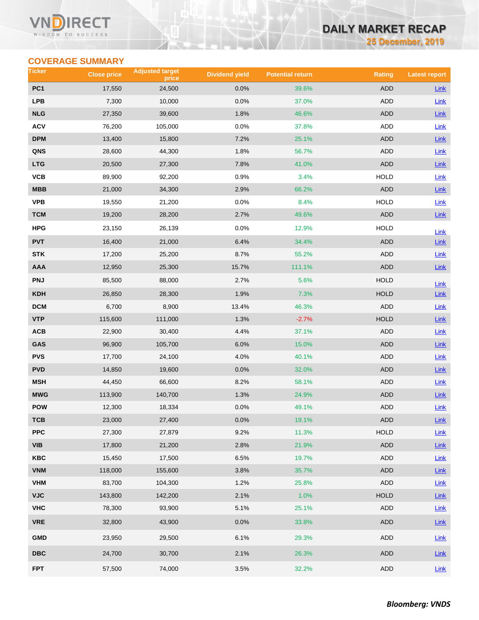#### Vľ RECT WISDOM TO SUCCESS

# **DAILY MARKET RECAP**

**25 December, 2019**

# **COVERAGE SUMMARY**

| Ticker                  | <b>Close price</b> | <b>Adjusted target</b><br>price | <b>Dividend yield</b> | <b>Potential return</b> | <b>Rating</b> | <b>Latest report</b> |
|-------------------------|--------------------|---------------------------------|-----------------------|-------------------------|---------------|----------------------|
| PC <sub>1</sub>         | 17,550             | 24,500                          | 0.0%                  | 39.6%                   | <b>ADD</b>    | <b>Link</b>          |
| <b>LPB</b>              | 7,300              | 10,000                          | 0.0%                  | 37.0%                   | <b>ADD</b>    | Link                 |
| <b>NLG</b>              | 27,350             | 39,600                          | 1.8%                  | 46.6%                   | <b>ADD</b>    | Link                 |
| <b>ACV</b>              | 76,200             | 105,000                         | 0.0%                  | 37.8%                   | ADD           | Link                 |
| <b>DPM</b>              | 13,400             | 15,800                          | 7.2%                  | 25.1%                   | ADD           | Link                 |
| QNS                     | 28,600             | 44,300                          | 1.8%                  | 56.7%                   | ADD           | <b>Link</b>          |
| <b>LTG</b>              | 20,500             | 27,300                          | 7.8%                  | 41.0%                   | <b>ADD</b>    | Link                 |
| VCB                     | 89,900             | 92,200                          | 0.9%                  | 3.4%                    | <b>HOLD</b>   | Link                 |
| MBB                     | 21,000             | 34,300                          | 2.9%                  | 66.2%                   | <b>ADD</b>    | Link                 |
| <b>VPB</b>              | 19,550             | 21,200                          | 0.0%                  | 8.4%                    | <b>HOLD</b>   | Link                 |
| <b>TCM</b>              | 19,200             | 28,200                          | 2.7%                  | 49.6%                   | <b>ADD</b>    | $Link$               |
| HPG                     | 23,150             | 26,139                          | 0.0%                  | 12.9%                   | <b>HOLD</b>   | Link                 |
| <b>PVT</b>              | 16,400             | 21,000                          | 6.4%                  | 34.4%                   | <b>ADD</b>    | Link                 |
| <b>STK</b>              | 17,200             | 25,200                          | 8.7%                  | 55.2%                   | ADD           | Link                 |
| <b>AAA</b>              | 12,950             | 25,300                          | 15.7%                 | 111.1%                  | <b>ADD</b>    | $Link$               |
| <b>PNJ</b>              | 85,500             | 88,000                          | 2.7%                  | 5.6%                    | <b>HOLD</b>   | Link                 |
| <b>KDH</b>              | 26,850             | 28,300                          | 1.9%                  | 7.3%                    | <b>HOLD</b>   | <b>Link</b>          |
| <b>DCM</b>              | 6,700              | 8,900                           | 13.4%                 | 46.3%                   | <b>ADD</b>    | Link                 |
| <b>VTP</b>              | 115,600            | 111,000                         | 1.3%                  | $-2.7%$                 | <b>HOLD</b>   | Link                 |
| ACB                     | 22,900             | 30,400                          | 4.4%                  | 37.1%                   | ADD           | Link                 |
| GAS                     | 96,900             | 105,700                         | 6.0%                  | 15.0%                   | <b>ADD</b>    | Link                 |
| <b>PVS</b>              | 17,700             | 24,100                          | 4.0%                  | 40.1%                   | <b>ADD</b>    | Link                 |
| <b>PVD</b>              | 14,850             | 19,600                          | 0.0%                  | 32.0%                   | <b>ADD</b>    | Link                 |
| <b>MSH</b>              | 44,450             | 66,600                          | 8.2%                  | 58.1%                   | ADD           | <b>Link</b>          |
| <b>MWG</b>              | 113,900            | 140,700                         | 1.3%                  | 24.9%                   | <b>ADD</b>    | $Link$               |
| <b>POW</b>              | 12,300             | 18,334                          | 0.0%                  | 49.1%                   | <b>ADD</b>    | <b>Link</b>          |
| тсв                     | 23,000             | 27,400                          | $0.0\%$               | 19.1%                   | ADD           | $Link$               |
| <b>PPC</b>              | 27,300             | 27,879                          | 9.2%                  | 11.3%                   | HOLD          | Link                 |
| <b>VIB</b>              | 17,800             | 21,200                          | 2.8%                  | 21.9%                   | ADD           | $Link$               |
| KBC                     | 15,450             | 17,500                          | 6.5%                  | 19.7%                   | ADD           | Link                 |
| <b>VNM</b>              | 118,000            | 155,600                         | 3.8%                  | 35.7%                   | ADD           | Link                 |
| <b>VHM</b>              | 83,700             | 104,300                         | 1.2%                  | 25.8%                   | ADD           | <b>Link</b>          |
| <b>VJC</b>              | 143,800            | 142,200                         | 2.1%                  | 1.0%                    | HOLD          | Link                 |
| <b>VHC</b>              | 78,300             | 93,900                          | 5.1%                  | 25.1%                   | ADD           | <b>Link</b>          |
| <b>VRE</b>              | 32,800             | 43,900                          | 0.0%                  | 33.8%                   | ADD           | $Link$               |
| <b>GMD</b>              | 23,950             | 29,500                          | 6.1%                  | 29.3%                   | ADD           | <b>Link</b>          |
| $\overline{\text{DBC}}$ | 24,700             | 30,700                          | 2.1%                  | 26.3%                   | ADD           | Link                 |
| <b>FPT</b>              | 57,500             | 74,000                          | 3.5%                  | 32.2%                   | ADD           | Link                 |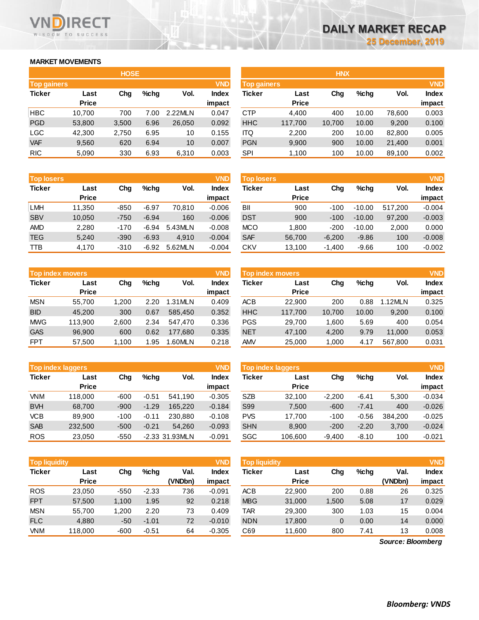### **MARKET MOVEMENTS**

WISDOM TO SUCCESS

**RECT** 

|                    | <b>HOSE</b>  |       |      |         |              |  |  |  |  |  |
|--------------------|--------------|-------|------|---------|--------------|--|--|--|--|--|
| <b>Top gainers</b> |              |       |      |         | <b>VND</b>   |  |  |  |  |  |
| <b>Ticker</b>      | Last         | Cha   | %chq | Vol.    | <b>Index</b> |  |  |  |  |  |
|                    | <b>Price</b> |       |      |         | impact       |  |  |  |  |  |
| <b>HBC</b>         | 10,700       | 700   | 7.00 | 2.22MLN | 0.047        |  |  |  |  |  |
| <b>PGD</b>         | 53,800       | 3,500 | 6.96 | 26,050  | 0.092        |  |  |  |  |  |
| <b>LGC</b>         | 42,300       | 2,750 | 6.95 | 10      | 0.155        |  |  |  |  |  |
| <b>VAF</b>         | 9,560        | 620   | 6.94 | 10      | 0.007        |  |  |  |  |  |
| <b>RIC</b>         | 5,090        | 330   | 6.93 | 6,310   | 0.003        |  |  |  |  |  |

| <b>Top losers</b> |              |        |         |         | <b>VND</b>   |
|-------------------|--------------|--------|---------|---------|--------------|
| <b>Ticker</b>     | Last         |        | %chq    | Vol.    | <b>Index</b> |
|                   | <b>Price</b> |        |         |         | impact       |
| <b>LMH</b>        | 11,350       | -850   | $-6.97$ | 70,810  | $-0.006$     |
| <b>SBV</b>        | 10,050       | $-750$ | $-6.94$ | 160     | $-0.006$     |
| <b>AMD</b>        | 2,280        | $-170$ | $-6.94$ | 5.43MLN | $-0.008$     |
| <b>TEG</b>        | 5,240        | $-390$ | $-6.93$ | 4.910   | $-0.004$     |
| TTB               | 4,170        | $-310$ | $-6.92$ | 5.62MLN | $-0.004$     |

|               | <b>VND</b><br><b>Top index movers</b> |       |      |         |                        |  |  |  |  |  |
|---------------|---------------------------------------|-------|------|---------|------------------------|--|--|--|--|--|
| <b>Ticker</b> | Last<br>Cha<br><b>Price</b>           |       | %chq | Vol.    | <b>Index</b><br>impact |  |  |  |  |  |
|               |                                       |       |      |         |                        |  |  |  |  |  |
| <b>MSN</b>    | 55,700                                | 1,200 | 2.20 | 1.31MLN | 0.409                  |  |  |  |  |  |
| <b>BID</b>    | 45.200                                | 300   | 0.67 | 585.450 | 0.352                  |  |  |  |  |  |
| <b>MWG</b>    | 113,900                               | 2,600 | 2.34 | 547.470 | 0.336                  |  |  |  |  |  |
| <b>GAS</b>    | 96,900                                | 600   | 0.62 | 177,680 | 0.335                  |  |  |  |  |  |
| <b>FPT</b>    | 57,500                                | 1,100 | 1.95 | 1.60MLN | 0.218                  |  |  |  |  |  |

|               | <b>VND</b><br><b>Top index laggers</b> |        |         |                |              |  |  |  |  |  |
|---------------|----------------------------------------|--------|---------|----------------|--------------|--|--|--|--|--|
| <b>Ticker</b> | Last                                   | Cha    | %chq    | Vol.           | <b>Index</b> |  |  |  |  |  |
|               | <b>Price</b>                           |        |         |                | impact       |  |  |  |  |  |
| <b>VNM</b>    | 118,000                                | $-600$ | $-0.51$ | 541,190        | $-0.305$     |  |  |  |  |  |
| <b>BVH</b>    | 68,700                                 | $-900$ | $-1.29$ | 165,220        | $-0.184$     |  |  |  |  |  |
| <b>VCB</b>    | 89.900                                 | $-100$ | $-0.11$ | 230,880        | $-0.108$     |  |  |  |  |  |
| <b>SAB</b>    | 232,500                                | $-500$ | $-0.21$ | 54.260         | $-0.093$     |  |  |  |  |  |
| <b>ROS</b>    | 23,050                                 | $-550$ |         | -2.33 31.93MLN | $-0.091$     |  |  |  |  |  |

|               | <b>VND</b><br><b>Top liquidity</b> |        |         |         |              |  |  |  |  |  |  |
|---------------|------------------------------------|--------|---------|---------|--------------|--|--|--|--|--|--|
| <b>Ticker</b> | Last                               | Cha    | %chq    | Val.    | <b>Index</b> |  |  |  |  |  |  |
|               | <b>Price</b>                       |        |         | (VNDbn) | impact       |  |  |  |  |  |  |
| <b>ROS</b>    | 23,050                             | $-550$ | $-2.33$ | 736     | $-0.091$     |  |  |  |  |  |  |
| <b>FPT</b>    | 57,500                             | 1,100  | 1.95    | 92      | 0.218        |  |  |  |  |  |  |
| <b>MSN</b>    | 55,700                             | 1,200  | 2.20    | 73      | 0.409        |  |  |  |  |  |  |
| <b>FLC</b>    | 4,880                              | $-50$  | $-1.01$ | 72      | $-0.010$     |  |  |  |  |  |  |
| <b>VNM</b>    | 118,000                            | -600   | $-0.51$ | 64      | $-0.305$     |  |  |  |  |  |  |

|                                  |              | <b>HOSE</b> |         |         |                    | <b>HNX</b> |              |        |       |            |              |
|----------------------------------|--------------|-------------|---------|---------|--------------------|------------|--------------|--------|-------|------------|--------------|
| <b>VND</b><br><b>Top gainers</b> |              |             |         |         | <b>Top gainers</b> |            |              |        |       | <b>VND</b> |              |
| Ticker                           | Last         | Chg         | $%$ chg | Vol.    | <b>Index</b>       | Ticker     | Last         | Chg    | %chq  | Vol.       | <b>Index</b> |
|                                  | <b>Price</b> |             |         |         | impact             |            | <b>Price</b> |        |       |            | impact       |
| HBC.                             | 10.700       | 700         | 7.00    | 2.22MLN | 0.047              | <b>CTP</b> | 4,400        | 400    | 10.00 | 78,600     | 0.003        |
| <b>PGD</b>                       | 53,800       | 3,500       | 6.96    | 26,050  | 0.092              | <b>HHC</b> | 117,700      | 10,700 | 10.00 | 9,200      | 0.100        |
| LGC                              | 42,300       | 2,750       | 6.95    | 10      | 0.155              | ITQ        | 2,200        | 200    | 10.00 | 82,800     | 0.005        |
| <b>VAF</b>                       | 9,560        | 620         | 6.94    | 10      | 0.007              | <b>PGN</b> | 9,900        | 900    | 10.00 | 21,400     | 0.001        |
| <b>RIC</b>                       | 5,090        | 330         | 6.93    | 6,310   | 0.003              | <b>SPI</b> | 1,100        | 100    | 10.00 | 89,100     | 0.002        |
|                                  |              |             |         |         |                    |            |              |        |       |            |              |

| <b>Top losers</b> | <b>VND</b>   |        |         |         |              |            | <b>VND</b><br><b>Top losers</b> |          |          |         |              |
|-------------------|--------------|--------|---------|---------|--------------|------------|---------------------------------|----------|----------|---------|--------------|
| <b>Ticker</b>     | Last         | Chg    | $%$ chq | Vol.    | <b>Index</b> | Ticker     | Last                            | Chg      | $%$ chq  | Vol.    | <b>Index</b> |
|                   | <b>Price</b> |        |         |         | impact       |            | <b>Price</b>                    |          |          |         | impact       |
| LMH               | 11.350       | $-850$ | $-6.97$ | 70.810  | $-0.006$     | BII        | 900                             | $-100$   | $-10.00$ | 517.200 | $-0.004$     |
| <b>SBV</b>        | 10.050       | $-750$ | $-6.94$ | 160     | $-0.006$     | <b>DST</b> | 900                             | $-100$   | $-10.00$ | 97,200  | $-0.003$     |
| AMD               | 2,280        | $-170$ | $-6.94$ | 5.43MLN | $-0.008$     | <b>MCO</b> | 1.800                           | $-200$   | $-10.00$ | 2,000   | 0.000        |
| TEG               | 5,240        | $-390$ | $-6.93$ | 4.910   | $-0.004$     | <b>SAF</b> | 56,700                          | $-6.200$ | $-9.86$  | 100     | $-0.008$     |
| TTB               | 4,170        | $-310$ | $-6.92$ | 5.62MLN | $-0.004$     | <b>CKV</b> | 13,100                          | $-1,400$ | $-9.66$  | 100     | $-0.002$     |
|                   |              |        |         |         |              |            |                                 |          |          |         |              |

| <b>Top index movers</b> |                      |       |      |          | <b>VND</b>             | Top index movers |                      |        |       |         |                        |  |
|-------------------------|----------------------|-------|------|----------|------------------------|------------------|----------------------|--------|-------|---------|------------------------|--|
| Ticker                  | Last<br><b>Price</b> | Chg   | %chq | Vol.     | <b>Index</b><br>impact | Ticker           | Last<br><b>Price</b> | Chg    | %chq  | Vol.    | <b>Index</b><br>impact |  |
| <b>MSN</b>              | 55.700               | 1.200 | 2.20 | 1.31 MLN | 0.409                  | <b>ACB</b>       | 22,900               | 200    | 0.88  | .12MLN  | 0.325                  |  |
| <b>BID</b>              | 45,200               | 300   | 0.67 | 585,450  | 0.352                  | <b>HHC</b>       | 117,700              | 10,700 | 10.00 | 9,200   | 0.100                  |  |
| <b>MWG</b>              | 113.900              | 2.600 | 2.34 | 547.470  | 0.336                  | <b>PGS</b>       | 29.700               | 1.600  | 5.69  | 400     | 0.054                  |  |
| <b>GAS</b>              | 96,900               | 600   | 0.62 | 177.680  | 0.335                  | <b>NET</b>       | 47.100               | 4.200  | 9.79  | 11.000  | 0.053                  |  |
| <b>FPT</b>              | 57,500               | 1,100 | 1.95 | .60MLN   | 0.218                  | <b>AMV</b>       | 25,000               | 1,000  | 4.17  | 567.800 | 0.031                  |  |

| <b>Top index laggers</b> |              |        |         |                | <b>VND</b>   | <b>VND</b><br>Top index laggers |              |          |         |         |              |  |
|--------------------------|--------------|--------|---------|----------------|--------------|---------------------------------|--------------|----------|---------|---------|--------------|--|
| Ticker                   | Last         | Chg    | $%$ chq | Vol.           | <b>Index</b> | Ticker                          | Last         | Chg      | $%$ chq | Vol.    | <b>Index</b> |  |
|                          | <b>Price</b> |        |         |                | impact       |                                 | <b>Price</b> |          |         |         | impact       |  |
| <b>VNM</b>               | 118,000      | $-600$ | $-0.51$ | 541.190        | $-0.305$     | <b>SZB</b>                      | 32.100       | $-2.200$ | $-6.41$ | 5.300   | $-0.034$     |  |
| <b>BVH</b>               | 68.700       | $-900$ | $-1.29$ | 165.220        | $-0.184$     | S99                             | 7,500        | $-600$   | $-7.41$ | 400     | $-0.026$     |  |
| <b>VCB</b>               | 89.900       | $-100$ | $-0.11$ | 230.880        | $-0.108$     | <b>PVS</b>                      | 17.700       | $-100$   | $-0.56$ | 384.200 | $-0.025$     |  |
| <b>SAB</b>               | 232,500      | $-500$ | $-0.21$ | 54.260         | $-0.093$     | <b>SHN</b>                      | 8,900        | $-200$   | $-2.20$ | 3.700   | $-0.024$     |  |
| <b>ROS</b>               | 23.050       | $-550$ |         | -2.33 31.93MLN | $-0.091$     | <b>SGC</b>                      | 106,600      | $-9,400$ | $-8.10$ | 100     | $-0.021$     |  |

| <b>Top liquidity</b> |                      |        |         |                 | <b>VND</b>             | <b>Top liquidity</b> |                      |       |         |                   | <b>VND</b>      |
|----------------------|----------------------|--------|---------|-----------------|------------------------|----------------------|----------------------|-------|---------|-------------------|-----------------|
| Ticker               | Last<br><b>Price</b> | Chg    | $%$ chg | Val.<br>(VNDbn) | <b>Index</b><br>impact | Ticker               | Last<br><b>Price</b> | Chg   | $%$ chq | Val.<br>(VNDbn)   | Index<br>impact |
| <b>ROS</b>           | 23,050               | $-550$ | $-2.33$ | 736             | $-0.091$               | <b>ACB</b>           | 22,900               | 200   | 0.88    | 26                | 0.325           |
| <b>FPT</b>           | 57,500               | 1.100  | 1.95    | 92              | 0.218                  | <b>MBG</b>           | 31,000               | 1,500 | 5.08    | 17                | 0.029           |
| <b>MSN</b>           | 55.700               | 1.200  | 2.20    | 73              | 0.409                  | TAR                  | 29,300               | 300   | 1.03    | 15                | 0.004           |
| <b>FLC</b>           | 4,880                | -50    | $-1.01$ | 72              | $-0.010$               | <b>NDN</b>           | 17,800               | 0     | 0.00    | 14                | 0.000           |
| <b>VNM</b>           | 118,000              | $-600$ | $-0.51$ | 64              | $-0.305$               | C69                  | 11,600               | 800   | 7.41    | 13                | 0.008           |
|                      |                      |        |         |                 |                        |                      |                      |       |         | Source: Bloomberg |                 |

*Source: Bloomberg*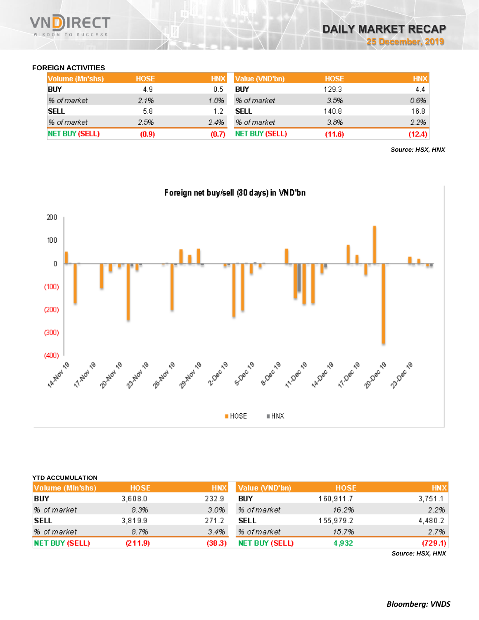

# **FOREIGN ACTIVITIES**

| Volume (Mn'shs) | <b>HOSE</b> | <b>HNX</b> | Value (VND'bn) | <b>HOSE</b> | <b>HNX</b> |
|-----------------|-------------|------------|----------------|-------------|------------|
| <b>BUY</b>      | 4.9         | 0.5        | BIIY           | 129.3       | 4.4        |
| % of market     | 2.1%        | 1.0%       | % of market    | 3.5%        | 0.6%       |
| SELL            | 5.8         |            | SELL           | 140.8       | 16.8       |
| % of market     | 2.5%        | 2.4%       | % of market    | 3.8%        | 2.2%       |
| NET BUY (SELL)  | (0.9)       | (0.7)      | NET BUY (SELL) | (11.6)      | (12.4)     |

*Source: HSX, HNX*



| <b>YTD ACCUMULATION</b> |             |            |                       |             |                                                  |
|-------------------------|-------------|------------|-----------------------|-------------|--------------------------------------------------|
| Volume (MIn'shs)        | <b>HOSE</b> | <b>HNX</b> | Value (VND'bn)        | <b>HOSE</b> | <b>HNX</b>                                       |
| BUY                     | 3,608.0     | 232.9      | BUY                   | 160,911.7   | 3,751.1                                          |
| % of market             | 8.3%        | 3.0%       | % of market           | 16.2%       | 2.2%                                             |
| <b>SELL</b>             | 3,819.9     | 271.2      | SELL                  | 155,979.2   | 4,480.2                                          |
| % of market             | 8.7%        | 3.4%       | % of market           | 15.7%       | 2.7%                                             |
| NET BUY (SELL)          | (211.9)     | (38.3)     | <b>NET BUY (SELL)</b> | 4,932       | (729.1)                                          |
|                         |             |            |                       |             | $\sim$ $\sim$ $\sim$ $\sim$ $\sim$ $\sim$ $\sim$ |

*Source: HSX, HNX*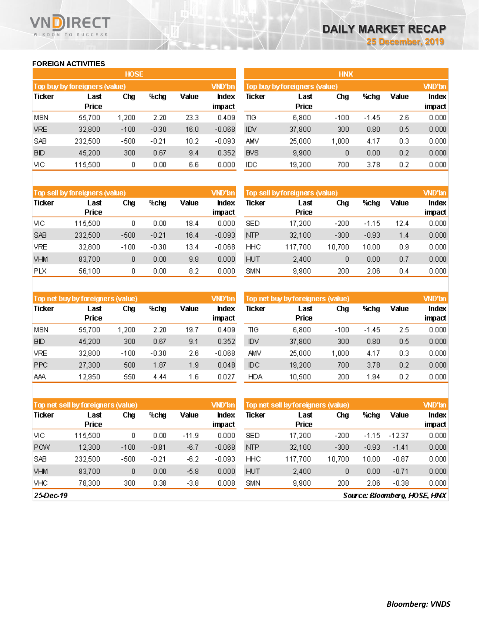### **FOREIGN ACTIVITIES**

WISDOM TO SUCCESS

**RECT** 

|               | <b>HOSE</b>                   |        |         |       |               |  |  |  |  |  |  |  |
|---------------|-------------------------------|--------|---------|-------|---------------|--|--|--|--|--|--|--|
|               | Top buy by foreigners (value) |        |         |       | <b>VND'bn</b> |  |  |  |  |  |  |  |
| <b>Ticker</b> | Last                          | Chg    | %chq    | Value | hdex          |  |  |  |  |  |  |  |
|               | Price                         |        |         |       | impact        |  |  |  |  |  |  |  |
| MSN           | 55,700                        | 1,200  | 2.20    | 23.3  | 0.409         |  |  |  |  |  |  |  |
| <b>VRE</b>    | 32,800                        | $-100$ | $-0.30$ | 16.0  | $-0.068$      |  |  |  |  |  |  |  |
| SAB           | 232,500                       | -500   | $-0.21$ | 10.2  | $-0.093$      |  |  |  |  |  |  |  |
| <b>BID</b>    | 45,200                        | 300    | 0.67    | 9.4   | 0.352         |  |  |  |  |  |  |  |
| VІС           | 115,500                       | 0      | 0.00    | 6.6   | 0.000         |  |  |  |  |  |  |  |

|            |                               | <b>HNX</b> |       |       |              |
|------------|-------------------------------|------------|-------|-------|--------------|
|            | Top buy by foreigners (value) |            |       |       | <b>WD'bn</b> |
| Ticker     | Last                          | Chg        | %chg  | Value | Index        |
|            | Price                         |            |       |       | impact       |
| ΠG         | 6,800                         | $-100$     | -1.45 | 2.6   | 0.000        |
| IDV        | 37,800                        | 300        | 0.80  | 0.5   | 0.000        |
| AMV        | 25,000                        | 1,000      | 4.17  | 0.3   | 0.000        |
| <b>BVS</b> | 9,900                         | 0          | 0.00  | 0.2   | 0.000        |
| IDC        | 19,200                        | 700        | 3.78  | 0.2   | 0.000        |

|               | Top sell by foreigners (value) |        |         |       | VND'bn                 | Top sell by foreigners (value), | <b>WD'bn</b>  |        |         |       |                 |
|---------------|--------------------------------|--------|---------|-------|------------------------|---------------------------------|---------------|--------|---------|-------|-----------------|
| <b>Ticker</b> | Last<br><b>Price</b>           | Chg    | %cha    | Value | <b>Index</b><br>impact | Ticker                          | Last<br>Price | Chg    | %chg    | Value | Index<br>impact |
| VІС           | 115,500                        | 0      | 0.00    | 18.4  | 0.000                  | <b>SED</b>                      | 17,200        | $-200$ | $-1.15$ | 12.4  | 0.000           |
| <b>SAB</b>    | 232,500                        | $-500$ | $-0.21$ | 16.4  | $-0.093$               | NTP                             | 32,100        | $-300$ | $-0.93$ | 1.4   | 0.000           |
| <b>VRE</b>    | 32,800                         | $-100$ | $-0.30$ | 13.4  | $-0.068$               | HHC                             | 117,700       | 10.700 | 10.00   | 0.9   | 0.000           |
| <b>VHM</b>    | 83,700                         | 0      | 0.00    | 9.8   | 0.000                  | <b>HUT</b>                      | 2,400         | 0      | 0.00    | 0.7   | 0.000           |
| <b>PLX</b>    | 56,100                         | 0      | 0.00    | 8.2   | 0.000                  | SMN                             | 9,900         | 200    | 2.06    | 0.4   | 0.000           |

|               | Top net buy by foreigners (value) |        |         |       | VND'bn         | Top net buy by foreigners (value) |               |        |         |       |                        |  |  |
|---------------|-----------------------------------|--------|---------|-------|----------------|-----------------------------------|---------------|--------|---------|-------|------------------------|--|--|
| <b>Ticker</b> | Last<br><b>Price</b>              | Chg    | %chg    | Value | hdex<br>impact | Ticker                            | Last<br>Price | Chg    | %chg    | Value | <b>Index</b><br>impact |  |  |
| MSN           | 55,700                            | 1.200  | 2.20    | 19.7  | 0.409          | ΠG                                | 6,800         | $-100$ | $-1.45$ | 2.5   | 0.000                  |  |  |
| <b>BID</b>    | 45,200                            | 300    | 0.67    | 9.1   | 0.352          | <b>IDV</b>                        | 37,800        | 300    | 0.80    | 0.5   | 0.000                  |  |  |
| <b>VRE</b>    | 32,800                            | $-100$ | $-0.30$ | 2.6   | $-0.068$       | AMV                               | 25,000        | 1.000  | 4.17    | 0.3   | 0.000                  |  |  |
| <b>PPC</b>    | 27,300                            | 500    | 1.87    | 1.9   | 0.048          | ЮC                                | 19,200        | 700    | 3.78    | 0.2   | 0.000                  |  |  |
| AAA           | 12,950                            | 550    | 4.44    | 1.6   | 0.027          | <b>HDA</b>                        | 10,500        | 200    | 1.94    | 0.2   | 0.000                  |  |  |

|               | Top net sell by foreigners (value) |        |         |         | VND'bn         | Top net sell by foreigners (value) |               | <b>WD'bn</b> |         |          |                 |
|---------------|------------------------------------|--------|---------|---------|----------------|------------------------------------|---------------|--------------|---------|----------|-----------------|
| <b>Ticker</b> | Last<br><b>Price</b>               | Chg    | %chg    | Value   | hdex<br>impact | Ticker                             | Last<br>Price | Chg          | %chg    | Value    | Index<br>impact |
| VIC.          | 115,500                            | 0      | 0.00    | $-11.9$ | 0.000          | SED                                | 17,200        | $-200$       | $-1.15$ | $-12.37$ | 0.000           |
| <b>POW</b>    | 12.300                             | $-100$ | $-0.81$ | $-6.7$  | $-0.068$       | <b>NTP</b>                         | 32,100        | $-300$       | $-0.93$ | $-1.41$  | 0.000           |
| <b>SAB</b>    | 232,500                            | $-500$ | $-0.21$ | $-6.2$  | $-0.093$       | HHC                                | 117.700       | 10,700       | 10.00   | $-0.87$  | 0.000           |
| <b>VHM</b>    | 83.700                             | 0      | 0.00    | $-5.8$  | 0.000          | <b>HUT</b>                         | 2,400         | 0            | 0.00    | $-0.71$  | 0.000           |
| <b>VHC</b>    | 78,300                             | 300    | 0.38    | $-3.8$  | 0.008          | SMN                                | 9,900         | 200          | 2.06    | $-0.38$  | 0.000           |

25-Dec-19

Source: Bloomberg, HOSE, HNX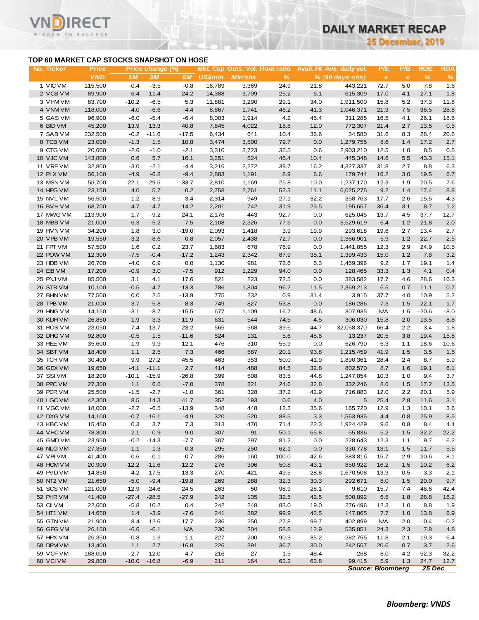**25 December, 2019**

### **TOP 60 MARKET CAP STOCKS SNAPSHOT ON HOSE**

 $^-$ T

|                                           |                  |                |                  |                    |                  |                                 |              |              |                            | <b>25 December, 2019</b>  |              |               |             |
|-------------------------------------------|------------------|----------------|------------------|--------------------|------------------|---------------------------------|--------------|--------------|----------------------------|---------------------------|--------------|---------------|-------------|
| TOP 60 MARKET CAP STOCKS SNAPSHOT ON HOSE |                  |                |                  |                    |                  |                                 |              |              |                            |                           |              |               |             |
| No. Ticker                                | <b>Price</b>     |                | Price change (%) |                    |                  | Mkt. Cap Outs. Vol. Float ratio |              |              | Avail. Fil Ave. daily vol. | P/E                       | P/B          | <b>ROE</b>    | <b>ROA</b>  |
|                                           | <b>VND</b>       | 1M             | 3M               | 6M                 | <b>US\$mln</b>   | <b>MIn'shs</b>                  | %            |              | $% (30 \, days - shs)$     | $\boldsymbol{\mathsf{x}}$ | $\pmb{\chi}$ | $\%$          | $\%$        |
| 1 VIC VM<br>2 VCB VM                      | 115,500          | $-0.4$         | $-3.5$           | $-0.8$             | 16,789           | 3,369                           | 24.9         | 21.8<br>6.1  | 443,221                    | 72.7                      | 5.0          | 7.8           | 1.6         |
| 3 VHM VM                                  | 89,900<br>83,700 | 6.4<br>$-10.2$ | 11.4<br>$-6.5$   | 24.2<br>5.3        | 14,388<br>11,881 | 3,709<br>3,290                  | 25.2<br>29.1 | 34.0         | 615,309<br>1,911,500       | 17.0<br>15.8              | 4.1<br>5.2   | 27.1<br>37.3  | 1.8<br>11.8 |
| 4 VNM VM                                  | 118,000          | $-4.0$         | $-6.6$           | $-4.4$             | 8,867            | 1,741                           | 46.2         | 41.3         | 1,046,371                  | 21.3                      | 7.5          | 36.5          | 28.8        |
| 5 GAS VM                                  | 96,900           | $-6.0$         | $-5.4$           | $-6.4$             | 8,003            | 1,914                           | 4.2          | 45.4         | 311,285                    | 16.5                      | 4.1          | 26.1          | 18.6        |
| 6 BID VM                                  | 45,200           | 13.9           | 13.3             | 40.8               | 7,845            | 4,022                           | 18.8         | 12.0         | 772,307                    | 21.4                      | 2.7          | 13.5          | 0.5         |
| 7 SAB VM                                  | 232,500          | $-0.2$         | $-11.6$          | $-17.5$            | 6,434            | 641                             | 10.4         | 36.6         | 34,580                     | 31.6                      | 8.3          | 28.4          | 20.6        |
| 8 TCB VM                                  | 23,000           | $-1.3$         | 1.5              | 10.8               | 3,474            | 3,500                           | 79.7         | 0.0          | 1,279,755                  | 8.6                       | 1.4          | 17.2          | 2.7         |
| 9 CTG VM                                  | 20,600           | $-2.6$         | $-1.0$           | $-2.1$             | 3,310            | 3,723                           | 35.5         | 0.6          | 2,903,210                  | 12.5                      | 1.0          | 8.5           | 0.5         |
| 10 VJC VM                                 | 143,800          | 0.6            | 5.7              | 16.1               | 3,251            | 524                             | 46.4         | 10.4         | 445,348                    | 14.6                      | 5.5          | 43.3          | 15.1        |
| 11 VREVM                                  | 32,800           | $-3.0$         | $-2.1$           | $-4.4$             | 3,216            | 2,272                           | 39.7         | 16.2         | 4,327,337                  | 31.8                      | 2.7          | 8.8           | 6.3         |
| 12 PLX VM                                 | 56,100           | $-4.9$         | $-6.8$           | $-9.4$             | 2,883            | 1,191                           | 8.9          | 6.6          | 179,744                    | 16.2                      | 3.0          | 19.5          | 6.7         |
| 13 MSN VM                                 | 55,700           | $-22.1$        | $-29.5$          | $-33.7$            | 2,810            | 1,169                           | 25.8         | 10.0         | 1,237,170                  | 12.3                      | 1.9          | 20.5          | 7.6         |
| 14 HPG VM                                 | 23,150           | 4.0            | 5.7              | 0.2                | 2,758            | 2,761                           | 52.3         | 11.1         | 6,025,275                  | 9.2                       | 1.4          | 17.4          | 8.8         |
| 15 NVL VM                                 | 56,500           | $-1.2$         | $-8.9$           | $-3.4$             | 2,314            | 949                             | 27.1         | 32.2         | 358,763                    | 17.7                      | 2.6          | 15.5          | 4.3         |
| 16 BVHVM                                  | 68,700           | $-4.7$         | $-4.7$           | $-14.2$            | 2,201            | 742                             | 31.9         | 23.5         | 195,657                    | 36.4                      | 3.1          | 8.7           | $1.2$       |
| 17 MWG VM                                 | 113,900          | 1.7            | $-9.2$           | 24.1               | 2,176            | 443                             | 92.7         | 0.0          | 625,045                    | 13.7                      | 4.5          | 37.7          | 12.7        |
| 18 MBB VM                                 | 21,000           | $-6.3$         | $-5.2$           | 7.5                | 2,108            | 2,326                           | 77.6         | 0.0          | 3,529,619                  | 6.4                       | 1.2          | 21.8          | 2.0         |
| 19 HVN VM                                 | 34,200           | 1.8            | 3.0              | $-19.0$            | 2,093            | 1,418                           | 3.9          | 19.9         | 293,618                    | 19.6                      | 2.7          | 13.4          | 2.7         |
| 20 VPB VM                                 | 19,550           | $-3.2$         | $-8.6$           | 0.8                | 2,057            | 2,438                           | 72.7         | 0.0          | 1,366,901                  | 5.9                       | 1.2          | 22.7          | 2.5         |
| 21 FPT VM                                 | 57,500           | 1.6            | 0.2              | 23.7               | 1,683            | 678                             | 76.9         | 0.0          | 1,441,855                  | 12.3                      | 2.9          | 24.9          | 10.5        |
| 22 POW VM                                 | 12,300           | $-7.5$         | $-0.4$           | $-17.2$            | 1,243            | 2,342                           | 87.9         | 35.1         | 1,399,433                  | 15.0                      | 1.2          | 7.8           | 3.2         |
| 23 HDB VM                                 | 26,700           | $-4.0$         | 0.9              | 0.0                | 1,130            | 981                             | 72.6         | 6.3          | 1,469,396                  | 9.2                       | 1.7          | 19.1          | 1.4         |
| 24 EIB VM                                 | 17,200           | $-0.9$         | 3.0              | $-7.5$             | 912              | 1,229                           | 94.0         | 0.0          | 128,465                    | 33.3                      | 1.3          | 4.1           | 0.4         |
| 25 PNJ VM                                 | 85,500           | 3.1            | 4.1              | 17.6               | 821              | 223                             | 72.5         | 0.0          | 383,582                    | 17.7                      | 4.6          | 28.6          | 16.3        |
| 26 STB VM                                 | 10,100           | $-0.5$         | $-4.7$           | $-13.3$            | 786              | 1,804                           | 96.2<br>0.9  | 11.5         | 2,369,213                  | 6.5                       | 0.7          | 11.1          | 0.7         |
| 27 BHN VM<br>28 TPB VM                    | 77,500<br>21,000 | 0.0<br>$-3.7$  | 2.5<br>$-5.8$    | $-13.9$<br>$-8.3$  | 775<br>749       | 232<br>827                      | 53.8         | 31.4<br>0.0  | 3,915<br>186,286           | 37.7<br>7.3               | 4.0<br>1.5   | 10.9<br>22.1  | 5.2<br>1.7  |
| 29 HNG VM                                 | 14,150           | $-3.1$         | $-8.7$           | $-15.5$            | 677              | 1,109                           | 16.7         | 48.6         | 307,935                    | <b>N/A</b>                | 1.5          | $-20.6$       | $-8.0$      |
| 30 KDH VM                                 | 26,850           | 1.9            | 3.3              | 11.9               | 631              | 544                             | 74.5         | 4.5          | 306,030                    | 15.8                      | 2.0          | 13.5          | 8.8         |
| 31 ROS VM                                 | 23,050           | -7.4           | $-13.7$          | $-23.2$            | 565              | 568                             | 39.6         | 44.7         | 32,058,370                 | 66.4                      | 2.2          | 3.4           | 1.8         |
| 32 DHG VM                                 | 92,800           | $-0.5$         | 1.5              | $-11.6$            | 524              | 131                             | 5.6          | 45.6         | 13,237                     | 20.5                      | 3.8          | 19.4          | 15.8        |
| 33 REE VM                                 | 35,600           | $-1.9$         | $-9.9$           | 12.1               | 476              | 310                             | 55.9         | 0.0          | 626,790                    | 6.3                       | 1.1          | 18.6          | 10.6        |
| 34 SBT VM                                 | 18,400           | 1.1            | 2.5              | $7.3$              | 466              | 587                             | 20.1         | 93.8         | 1,215,459                  | 41.9                      | 1.5          | 3.5           | 1.5         |
| 35 TCH VM                                 | 30,400           | 9.9            | 27.2             | 45.5               | 463              | 353                             | 50.0         | 41.9         | 1,890,361                  | 28.4                      | 2.4          | 8.7           | 5.9         |
| 36 GEX VM                                 | 19,650           | $-4.1$         | $-11.1$          | 2.7                | 414              | 488                             | 84.5         | 32.8         | 802,570                    | 8.7                       | 1.6          | 19.1          | 6.1         |
| 37 SSIVM                                  | 18,200           | $-10.1$        | $-15.9$          | $-26.8$            | 399              | 508                             | 83.5         | 44.8         | 1,247,854                  | 10.3                      | 1.0          | 9.4           | 3.7         |
| 38 PPC VM                                 | 27,300           | 1.1            | 6.6              | $-7.0$             | 378              | 321                             | 24.6         | 32.8         | 332,246                    | 8.6                       | 1.5          | 17.2          | 13.5        |
| 39 PDR VM                                 | 25,500           | $-1.5$         | $-2.7$           | $-1.0$             | 361              | 328                             | 37.2         | 42.9         | 716,883                    | 12.0                      | 2.2          | 20.1          | 5.9         |
| 40 LGC VM                                 | 42,300           | 8.5            | 14.3             | 41.7               | 352              | 193                             | 0.6          | 4.0          | 5                          | 25.4                      | 2.8          | 11.6          | 3.1         |
| 41 VGC VM                                 | 18,000           | $-2.7$         | $-6.5$           | $-13.9$            | 348              | 448                             | 12.3         | 35.6         | 165,720                    | 12.9                      | 1.3          | 10.1          | 3.6         |
| 42 DXG VM                                 | 14,100           | $-0.7$         | $-16.1$          | $-4.9$             | 320              | 520                             | 88.5         | 3.3          | 1,563,935                  | 4.4                       | 0.8          | 25.9          | 8.5         |
| 43 KBC VM                                 | 15,450           | 0.3            | 3.7              | 7.3                | 313              | 470                             | 71.4         | 22.3         | 1,924,429                  | 9.6                       | 0.8          | 8.4           | 4.4         |
| 44 VHC VM                                 | 78,300           | 2.1            | $-0.9$           | $-9.0$             | 307              | 91                              | 50.1         | 65.8         | 55,836                     | 5.2                       | 1.5          | 32.2          | 22.2        |
| 45 GMD VM                                 | 23,950           | $-0.2$         | $-14.3$          | $-7.7$             | 307              | 297                             | 81.2         | 0.0          | 228,643                    | 12.3                      | 1.1          | 9.7           | 6.2         |
| 46 NLG VM                                 | 27,350           | $-1.1$         | $-1.3$           | 0.3                | 295              | 250                             | 62.1         | 0.0          | 330,778                    | 13.1                      | 1.5          | 11.7          | $5.5\,$     |
| 47 VPIVM                                  | 41,400           | 0.6            | $-0.1$           | $-0.7$             | 286              | 160                             | 100.0        | 42.6         | 383,816                    | 15.7                      | 2.9          | 20.6          | 8.1         |
| 48 HCM VM                                 | 20,900           | $-12.2$        | $-11.6$          | $-12.2$            | 276              | 306                             | 50.8         | 43.1         | 850,922                    | 16.2                      | 1.5          | 10.2          | 6.2         |
| 49 PVD VM                                 | 14,850           | $-4.2$         | $-17.5$          | $-13.3$            | 270              | 421                             | 49.5         | 28.8         | 1,670,508                  | 13.9                      | 0.5          | 3.3           | 2.1         |
| 50 NT2 VM                                 | 21,650           | $-5.0$         | $-9.4$           | $-19.8$            | 269              | 288                             | 32.3         | 30.3         | 292,671                    | 8.0                       | 1.5          | 20.0          | 9.7         |
| 51 SCS VM                                 | 121,000          | $-12.9$        | $-24.6$          | $-24.5$            | 263              | 50                              | 98.9         | 28.1         | 9,610                      | 15.7                      | 7.4          | 46.6          | 42.4        |
| 52 PHR VM                                 | 41,400           | $-27.4$        | $-28.5$          | $-27.9$            | 242              | 135                             | 32.5         | 42.5         | 500,892                    | 6.5                       | 1.8          | 28.8          | 16.2        |
| 53 CII VM                                 | 22,600           | $-5.8$         | 10.2             | 0.4                | 242              | 248                             | 83.0         | 19.0         | 276,496                    | 12.3                      | 1.0          | 8.8           | 1.9<br>6.9  |
| 54 HT1 VM                                 | 14,650           | 1.4            | $-3.9$           | $-7.6$             | 241              | 382                             | 99.9         | 42.5         | 147,865                    | 7.7                       | 1.0          | 13.8          |             |
| 55 GTN VM<br>56 GEG VM                    | 21,900           | 8.4<br>$-6.6$  | 12.6<br>$-6.1$   | 17.7<br><b>N/A</b> | 236<br>230       | 250<br>204                      | 27.8<br>58.8 | 99.7<br>12.9 | 402,899                    | <b>N/A</b><br>24.3        | 2.0<br>2.3   | $-0.4$<br>7.8 | $-0.2$      |
| 57 HPX VM                                 | 26,150<br>26,350 | $-0.8$         | 1.3              | $-1.1$             | 227              | 200                             | 90.3         | 35.2         | 535,851<br>282,755         | 11.8                      | 2.1          | 19.3          | 4.8         |
| 58 DPM VM                                 | 13,400           | 1.1            | 2.7              | $-16.8$            | 226              | 391                             | 36.7         | 30.0         | 242,557                    | 20.6                      | 0.7          | 3.7           | 6.4<br>2.6  |
| 59 VCF VM                                 | 188,000          | 2.7            | 12.0             | 4.7                | 216              | 27                              | 1.5          | 48.4         | 268                        | 8.0                       | 4.2          | 52.3          | 32.2        |
| 60 VCIVM                                  | 29,800           | $-10.0$        | $-16.8$          | $-6.9$             | 211              | 164                             | 62.2         | 62.8         | 99,415                     | 5.9                       | 1.3          | 24.7          | 12.7        |
|                                           |                  |                |                  |                    |                  |                                 |              |              |                            | <b>Source: Bloomberg</b>  |              | 25 Dec        |             |